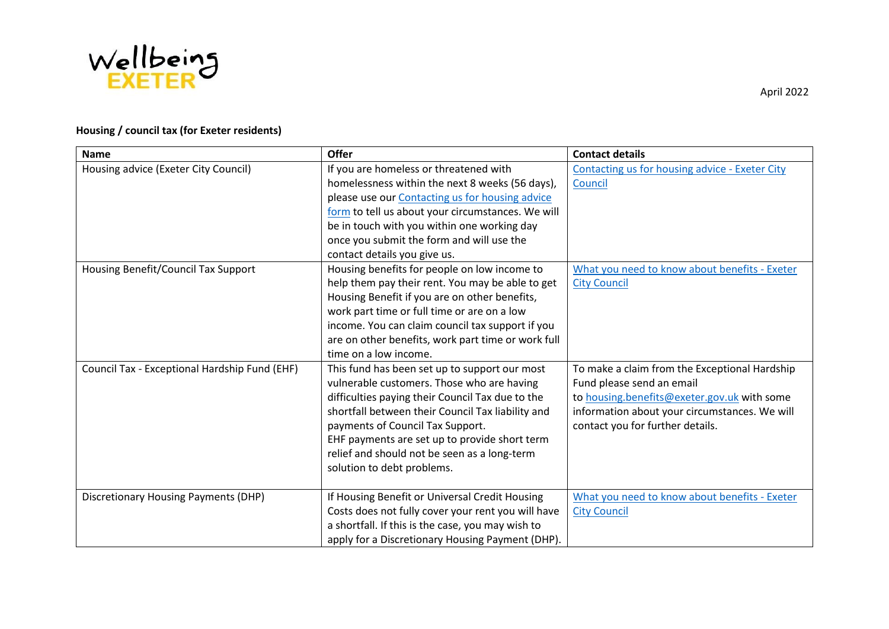

# **Housing / council tax (for Exeter residents)**

| <b>Name</b>                                   | <b>Offer</b>                                                                                                                                                                                                                                                                                                                                                            | <b>Contact details</b>                                                                                                                                                                                         |
|-----------------------------------------------|-------------------------------------------------------------------------------------------------------------------------------------------------------------------------------------------------------------------------------------------------------------------------------------------------------------------------------------------------------------------------|----------------------------------------------------------------------------------------------------------------------------------------------------------------------------------------------------------------|
| Housing advice (Exeter City Council)          | If you are homeless or threatened with<br>homelessness within the next 8 weeks (56 days),<br>please use our Contacting us for housing advice<br>form to tell us about your circumstances. We will<br>be in touch with you within one working day<br>once you submit the form and will use the<br>contact details you give us.                                           | Contacting us for housing advice - Exeter City<br>Council                                                                                                                                                      |
| Housing Benefit/Council Tax Support           | Housing benefits for people on low income to<br>help them pay their rent. You may be able to get<br>Housing Benefit if you are on other benefits,<br>work part time or full time or are on a low<br>income. You can claim council tax support if you<br>are on other benefits, work part time or work full<br>time on a low income.                                     | What you need to know about benefits - Exeter<br><b>City Council</b>                                                                                                                                           |
| Council Tax - Exceptional Hardship Fund (EHF) | This fund has been set up to support our most<br>vulnerable customers. Those who are having<br>difficulties paying their Council Tax due to the<br>shortfall between their Council Tax liability and<br>payments of Council Tax Support.<br>EHF payments are set up to provide short term<br>relief and should not be seen as a long-term<br>solution to debt problems. | To make a claim from the Exceptional Hardship<br>Fund please send an email<br>to housing.benefits@exeter.gov.uk with some<br>information about your circumstances. We will<br>contact you for further details. |
| <b>Discretionary Housing Payments (DHP)</b>   | If Housing Benefit or Universal Credit Housing<br>Costs does not fully cover your rent you will have<br>a shortfall. If this is the case, you may wish to<br>apply for a Discretionary Housing Payment (DHP).                                                                                                                                                           | What you need to know about benefits - Exeter<br><b>City Council</b>                                                                                                                                           |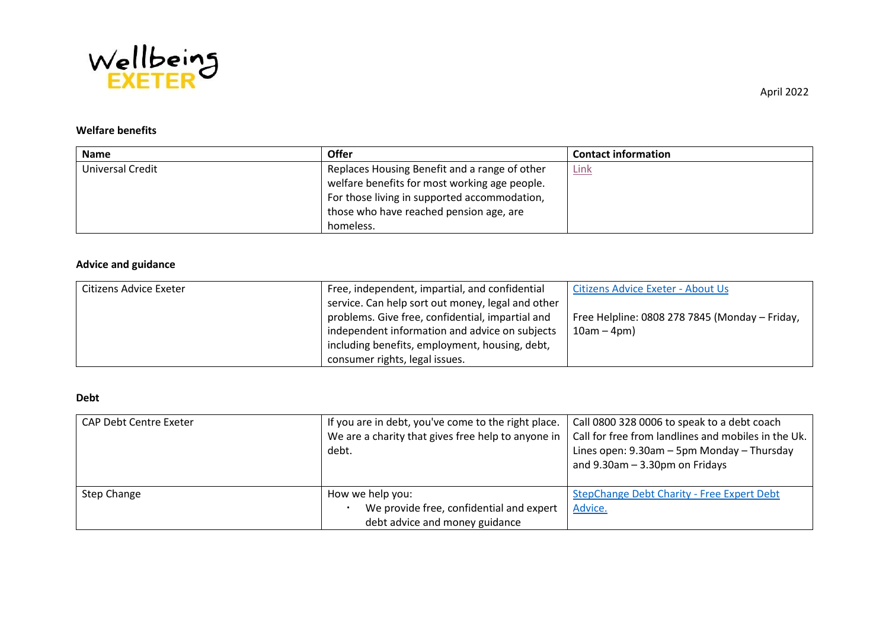

# **Welfare benefits**

| <b>Name</b>      | <b>Offer</b>                                  | <b>Contact information</b> |
|------------------|-----------------------------------------------|----------------------------|
| Universal Credit | Replaces Housing Benefit and a range of other | <u>Link</u>                |
|                  | welfare benefits for most working age people. |                            |
|                  | For those living in supported accommodation,  |                            |
|                  | those who have reached pension age, are       |                            |
|                  | homeless.                                     |                            |

#### **Advice and guidance**

| Citizens Advice Exeter | Free, independent, impartial, and confidential    | Citizens Advice Exeter - About Us              |
|------------------------|---------------------------------------------------|------------------------------------------------|
|                        | service. Can help sort out money, legal and other |                                                |
|                        | problems. Give free, confidential, impartial and  | Free Helpline: 0808 278 7845 (Monday - Friday, |
|                        | independent information and advice on subjects    | $10am - 4pm)$                                  |
|                        | including benefits, employment, housing, debt,    |                                                |
|                        | consumer rights, legal issues.                    |                                                |

#### **Debt**

| <b>CAP Debt Centre Exeter</b> | If you are in debt, you've come to the right place.<br>We are a charity that gives free help to anyone in<br>debt. | Call 0800 328 0006 to speak to a debt coach<br>Call for free from landlines and mobiles in the Uk.<br>Lines open: 9.30am - 5pm Monday - Thursday<br>and $9.30$ am $-3.30$ pm on Fridays |
|-------------------------------|--------------------------------------------------------------------------------------------------------------------|-----------------------------------------------------------------------------------------------------------------------------------------------------------------------------------------|
| Step Change                   | How we help you:<br>We provide free, confidential and expert<br>debt advice and money guidance                     | StepChange Debt Charity - Free Expert Debt<br>Advice.                                                                                                                                   |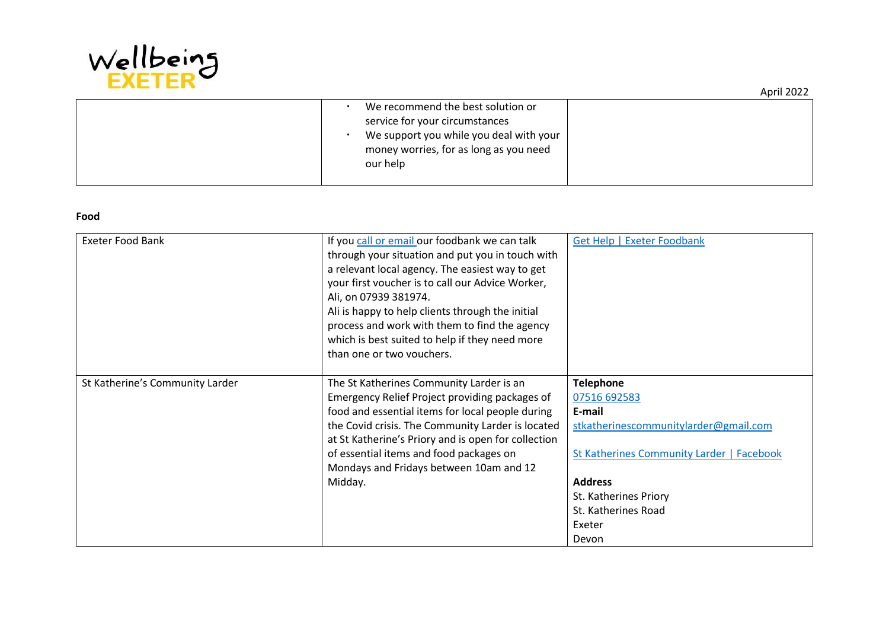

 We recommend the best solution or service for your circumstances We support you while you deal with your money worries, for as long as you need our help

#### **Food**

| Exeter Food Bank                | If you call or email our foodbank we can talk<br>through your situation and put you in touch with<br>a relevant local agency. The easiest way to get | Get Help   Exeter Foodbank                |
|---------------------------------|------------------------------------------------------------------------------------------------------------------------------------------------------|-------------------------------------------|
|                                 | your first voucher is to call our Advice Worker,<br>Ali, on 07939 381974.<br>Ali is happy to help clients through the initial                        |                                           |
|                                 | process and work with them to find the agency                                                                                                        |                                           |
|                                 | which is best suited to help if they need more<br>than one or two vouchers.                                                                          |                                           |
| St Katherine's Community Larder | The St Katherines Community Larder is an                                                                                                             | <b>Telephone</b>                          |
|                                 | Emergency Relief Project providing packages of                                                                                                       | 07516 692583                              |
|                                 | food and essential items for local people during                                                                                                     | E-mail                                    |
|                                 | the Covid crisis. The Community Larder is located                                                                                                    | stkatherinescommunitylarder@gmail.com     |
|                                 | at St Katherine's Priory and is open for collection                                                                                                  |                                           |
|                                 | of essential items and food packages on                                                                                                              | St Katherines Community Larder   Facebook |
|                                 | Mondays and Fridays between 10am and 12                                                                                                              |                                           |
|                                 | Midday.                                                                                                                                              | <b>Address</b>                            |
|                                 |                                                                                                                                                      | St. Katherines Priory                     |
|                                 |                                                                                                                                                      | St. Katherines Road                       |
|                                 |                                                                                                                                                      | Exeter                                    |
|                                 |                                                                                                                                                      | Devon                                     |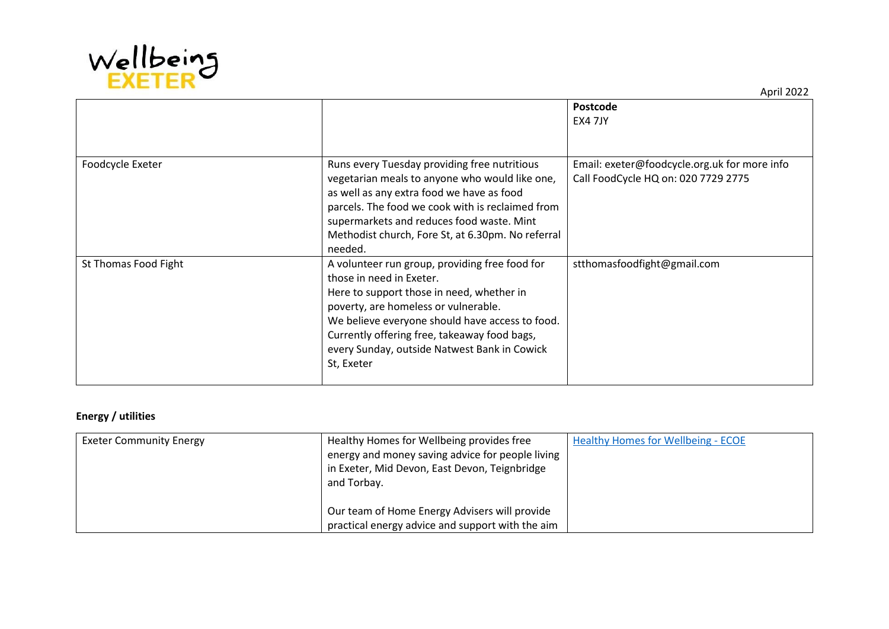

|                      |                                                                                                                                                                                                                                                                                                                                  | Postcode<br><b>EX4 7JY</b>                                                          |
|----------------------|----------------------------------------------------------------------------------------------------------------------------------------------------------------------------------------------------------------------------------------------------------------------------------------------------------------------------------|-------------------------------------------------------------------------------------|
| Foodcycle Exeter     | Runs every Tuesday providing free nutritious<br>vegetarian meals to anyone who would like one,<br>as well as any extra food we have as food<br>parcels. The food we cook with is reclaimed from<br>supermarkets and reduces food waste. Mint<br>Methodist church, Fore St, at 6.30pm. No referral<br>needed.                     | Email: exeter@foodcycle.org.uk for more info<br>Call FoodCycle HQ on: 020 7729 2775 |
| St Thomas Food Fight | A volunteer run group, providing free food for<br>those in need in Exeter.<br>Here to support those in need, whether in<br>poverty, are homeless or vulnerable.<br>We believe everyone should have access to food.<br>Currently offering free, takeaway food bags,<br>every Sunday, outside Natwest Bank in Cowick<br>St, Exeter | stthomasfoodfight@gmail.com                                                         |

### **Energy / utilities**

| <b>Exeter Community Energy</b> | Healthy Homes for Wellbeing provides free        | <b>Healthy Homes for Wellbeing - ECOE</b> |
|--------------------------------|--------------------------------------------------|-------------------------------------------|
|                                | energy and money saving advice for people living |                                           |
|                                | in Exeter, Mid Devon, East Devon, Teignbridge    |                                           |
|                                | and Torbay.                                      |                                           |
|                                |                                                  |                                           |
|                                | Our team of Home Energy Advisers will provide    |                                           |
|                                | practical energy advice and support with the aim |                                           |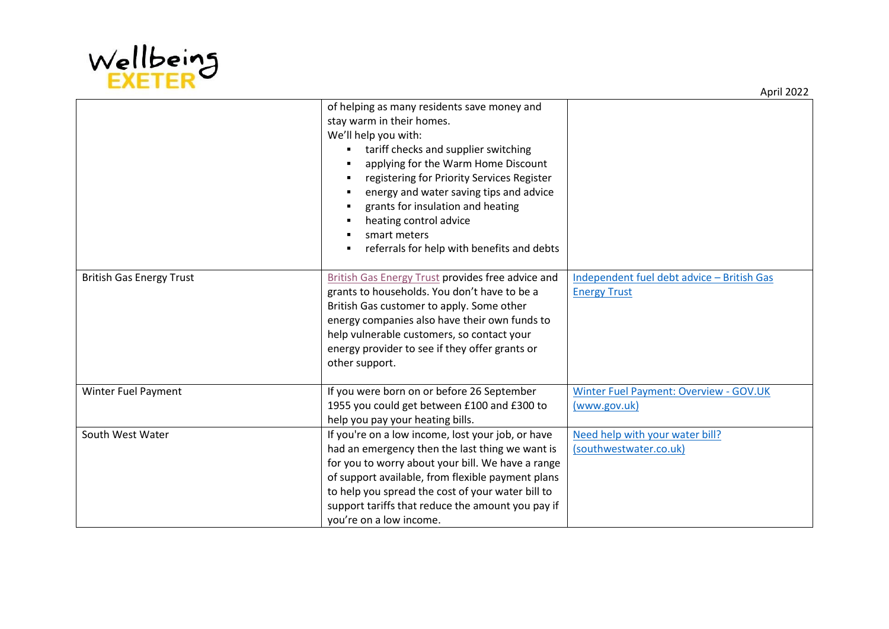

|                                 | of helping as many residents save money and              |                                            |
|---------------------------------|----------------------------------------------------------|--------------------------------------------|
|                                 | stay warm in their homes.                                |                                            |
|                                 | We'll help you with:                                     |                                            |
|                                 | tariff checks and supplier switching                     |                                            |
|                                 | applying for the Warm Home Discount                      |                                            |
|                                 | registering for Priority Services Register               |                                            |
|                                 | energy and water saving tips and advice<br>п             |                                            |
|                                 | grants for insulation and heating                        |                                            |
|                                 | heating control advice<br>п                              |                                            |
|                                 | smart meters                                             |                                            |
|                                 | referrals for help with benefits and debts<br>٠          |                                            |
|                                 |                                                          |                                            |
| <b>British Gas Energy Trust</b> | <b>British Gas Energy Trust provides free advice and</b> | Independent fuel debt advice - British Gas |
|                                 | grants to households. You don't have to be a             | <b>Energy Trust</b>                        |
|                                 | British Gas customer to apply. Some other                |                                            |
|                                 | energy companies also have their own funds to            |                                            |
|                                 | help vulnerable customers, so contact your               |                                            |
|                                 | energy provider to see if they offer grants or           |                                            |
|                                 | other support.                                           |                                            |
|                                 |                                                          |                                            |
| <b>Winter Fuel Payment</b>      | If you were born on or before 26 September               | Winter Fuel Payment: Overview - GOV.UK     |
|                                 | 1955 you could get between £100 and £300 to              | (www.gov.uk)                               |
|                                 | help you pay your heating bills.                         |                                            |
| South West Water                | If you're on a low income, lost your job, or have        | Need help with your water bill?            |
|                                 | had an emergency then the last thing we want is          | (southwestwater.co.uk)                     |
|                                 | for you to worry about your bill. We have a range        |                                            |
|                                 | of support available, from flexible payment plans        |                                            |
|                                 | to help you spread the cost of your water bill to        |                                            |
|                                 | support tariffs that reduce the amount you pay if        |                                            |
|                                 | you're on a low income.                                  |                                            |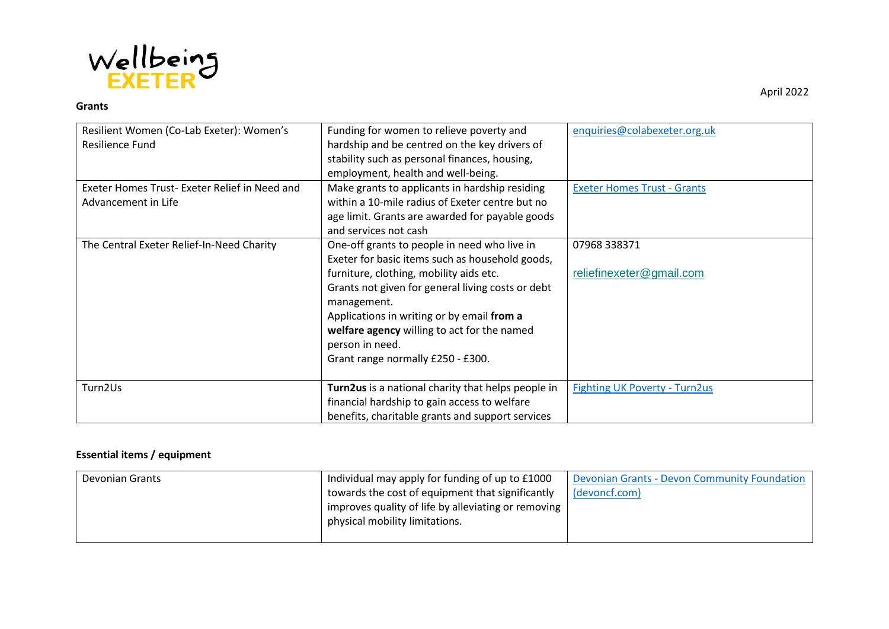

#### **Grants**

| Resilient Women (Co-Lab Exeter): Women's<br>Resilience Fund          | Funding for women to relieve poverty and<br>hardship and be centred on the key drivers of<br>stability such as personal finances, housing,<br>employment, health and well-being.                                                                                                                                                                                    | enquiries@colabexeter.org.uk             |
|----------------------------------------------------------------------|---------------------------------------------------------------------------------------------------------------------------------------------------------------------------------------------------------------------------------------------------------------------------------------------------------------------------------------------------------------------|------------------------------------------|
| Exeter Homes Trust- Exeter Relief in Need and<br>Advancement in Life | Make grants to applicants in hardship residing<br>within a 10-mile radius of Exeter centre but no<br>age limit. Grants are awarded for payable goods<br>and services not cash                                                                                                                                                                                       | <b>Exeter Homes Trust - Grants</b>       |
| The Central Exeter Relief-In-Need Charity                            | One-off grants to people in need who live in<br>Exeter for basic items such as household goods,<br>furniture, clothing, mobility aids etc.<br>Grants not given for general living costs or debt<br>management.<br>Applications in writing or by email from a<br>welfare agency willing to act for the named<br>person in need.<br>Grant range normally £250 - £300. | 07968 338371<br>reliefinexeter@gmail.com |
| Turn2Us                                                              | Turn2us is a national charity that helps people in<br>financial hardship to gain access to welfare<br>benefits, charitable grants and support services                                                                                                                                                                                                              | <b>Fighting UK Poverty - Turn2us</b>     |

## **Essential items / equipment**

| Devonian Grants | Individual may apply for funding of up to £1000                   | Devonian Grants - Devon Community Foundation |
|-----------------|-------------------------------------------------------------------|----------------------------------------------|
|                 | towards the cost of equipment that significantly                  | (devoncf.com)                                |
|                 | $\mid$ improves quality of life by alleviating or removing $\mid$ |                                              |
|                 | physical mobility limitations.                                    |                                              |
|                 |                                                                   |                                              |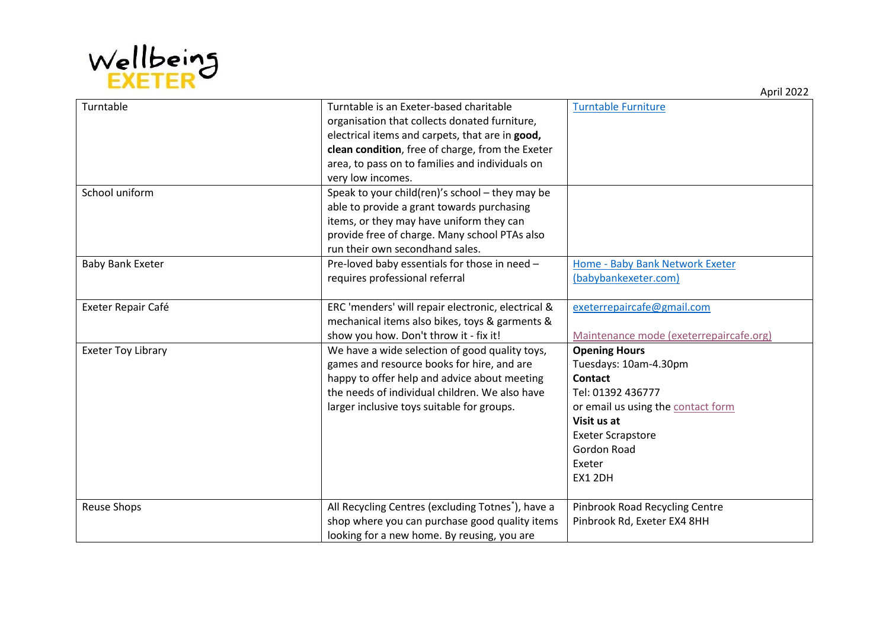

| Turntable                 | Turntable is an Exeter-based charitable                        | <b>Turntable Furniture</b>              |
|---------------------------|----------------------------------------------------------------|-----------------------------------------|
|                           | organisation that collects donated furniture,                  |                                         |
|                           | electrical items and carpets, that are in good,                |                                         |
|                           | clean condition, free of charge, from the Exeter               |                                         |
|                           | area, to pass on to families and individuals on                |                                         |
|                           | very low incomes.                                              |                                         |
| School uniform            | Speak to your child(ren)'s school - they may be                |                                         |
|                           | able to provide a grant towards purchasing                     |                                         |
|                           | items, or they may have uniform they can                       |                                         |
|                           | provide free of charge. Many school PTAs also                  |                                         |
|                           | run their own secondhand sales.                                |                                         |
| <b>Baby Bank Exeter</b>   | Pre-loved baby essentials for those in need -                  | Home - Baby Bank Network Exeter         |
|                           | requires professional referral                                 | (babybankexeter.com)                    |
|                           |                                                                |                                         |
| Exeter Repair Café        | ERC 'menders' will repair electronic, electrical &             | exeterrepaircafe@gmail.com              |
|                           | mechanical items also bikes, toys & garments &                 |                                         |
|                           | show you how. Don't throw it - fix it!                         | Maintenance mode (exeterrepaircafe.org) |
| <b>Exeter Toy Library</b> | We have a wide selection of good quality toys,                 | <b>Opening Hours</b>                    |
|                           | games and resource books for hire, and are                     | Tuesdays: 10am-4.30pm                   |
|                           | happy to offer help and advice about meeting                   | <b>Contact</b>                          |
|                           | the needs of individual children. We also have                 | Tel: 01392 436777                       |
|                           | larger inclusive toys suitable for groups.                     | or email us using the contact form      |
|                           |                                                                | Visit us at                             |
|                           |                                                                | <b>Exeter Scrapstore</b>                |
|                           |                                                                | Gordon Road                             |
|                           |                                                                | Exeter                                  |
|                           |                                                                | EX1 2DH                                 |
|                           |                                                                |                                         |
| <b>Reuse Shops</b>        | All Recycling Centres (excluding Totnes <sup>*</sup> ), have a | Pinbrook Road Recycling Centre          |
|                           | shop where you can purchase good quality items                 | Pinbrook Rd, Exeter EX4 8HH             |
|                           | looking for a new home. By reusing, you are                    |                                         |